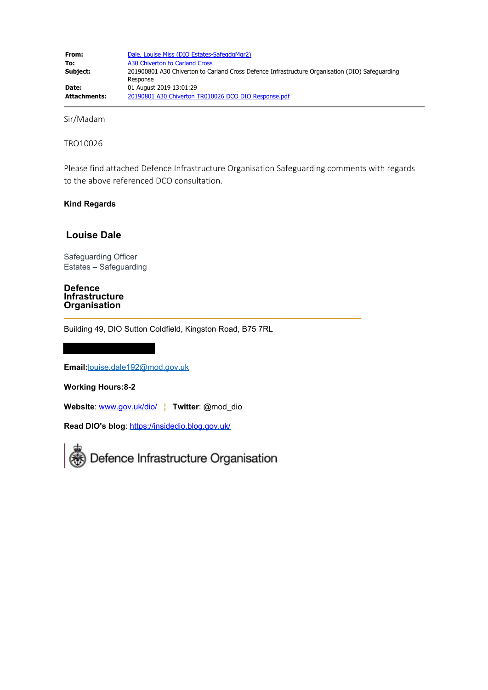Sir/Madam

TRO10026

Please find attached Defence Infrastructure Organisation Safeguarding comments with regards to the above referenced DCO consultation.

## **Kind Regards**

# **Louise Dale**

Safeguarding Officer Estates – Safeguarding

#### **Defence Infrastructure Organisation**  $\mathcal{L}_{\mathcal{L}}$  , and the set of the set of the set of the set of the set of the set of the set of the set of the set of the set of the set of the set of the set of the set of the set of the set of the set of the set of th

Building 49, DIO Sutton Coldfield, Kingston Road, B75 7RL

**Email:**[louise.dale192@mod.gov.uk](mailto:louise.dale192@mod.gov.uk)

**Working Hours:8-2**

**Website**: [www.gov.uk/dio/](https://gbr01.safelinks.protection.outlook.com/?url=http%3A%2F%2Fwww.gov.uk%2Fdio%2F&data=02%7C01%7CA30ChivertontoCarlandCross%40planninginspectorate.gov.uk%7C399942091d864249f6c708d71677f8c5%7C5878df986f8848ab9322998ce557088d%7C1%7C1%7C637002576875242884&sdata=vZy8PskAGywgrfPsahz0O%2BR3dNpppN54LWpj3MOOnV4%3D&reserved=0) **│ Twitter**: @mod\_dio

**Read DIO's blog**: [https://insidedio.blog.gov.uk/](https://gbr01.safelinks.protection.outlook.com/?url=https%3A%2F%2Finsidedio.blog.gov.uk%2F&data=02%7C01%7CA30ChivertontoCarlandCross%40planninginspectorate.gov.uk%7C399942091d864249f6c708d71677f8c5%7C5878df986f8848ab9322998ce557088d%7C1%7C1%7C637002576875252872&sdata=EaHNKTJhzomFTvRrFCobTKw7M2KjhG6uhyVNDkW6rW8%3D&reserved=0)

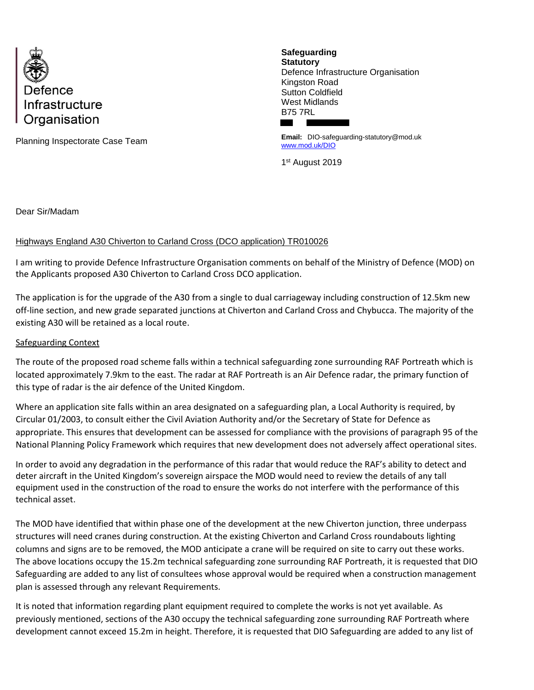

Planning Inspectorate Case Team

**Safeguarding Statutory** Defence Infrastructure Organisation Kingston Road Sutton Coldfield West Midlands B75 7RL

**Email:** DIO-safeguarding-statutory@mod.uk [www.mod.uk/DIO](http://www.mod.uk/DIO)

1 st August 2019

Dear Sir/Madam

# Highways England A30 Chiverton to Carland Cross (DCO application) TR010026

I am writing to provide Defence Infrastructure Organisation comments on behalf of the Ministry of Defence (MOD) on the Applicants proposed A30 Chiverton to Carland Cross DCO application.

The application is for the upgrade of the A30 from a single to dual carriageway including construction of 12.5km new off-line section, and new grade separated junctions at Chiverton and Carland Cross and Chybucca. The majority of the existing A30 will be retained as a local route.

## Safeguarding Context

The route of the proposed road scheme falls within a technical safeguarding zone surrounding RAF Portreath which is located approximately 7.9km to the east. The radar at RAF Portreath is an Air Defence radar, the primary function of this type of radar is the air defence of the United Kingdom.

Where an application site falls within an area designated on a safeguarding plan, a Local Authority is required, by Circular 01/2003, to consult either the Civil Aviation Authority and/or the Secretary of State for Defence as appropriate. This ensures that development can be assessed for compliance with the provisions of paragraph 95 of the National Planning Policy Framework which requires that new development does not adversely affect operational sites.

In order to avoid any degradation in the performance of this radar that would reduce the RAF's ability to detect and deter aircraft in the United Kingdom's sovereign airspace the MOD would need to review the details of any tall equipment used in the construction of the road to ensure the works do not interfere with the performance of this technical asset.

The MOD have identified that within phase one of the development at the new Chiverton junction, three underpass structures will need cranes during construction. At the existing Chiverton and Carland Cross roundabouts lighting columns and signs are to be removed, the MOD anticipate a crane will be required on site to carry out these works. The above locations occupy the 15.2m technical safeguarding zone surrounding RAF Portreath, it is requested that DIO Safeguarding are added to any list of consultees whose approval would be required when a construction management plan is assessed through any relevant Requirements.

It is noted that information regarding plant equipment required to complete the works is not yet available. As previously mentioned, sections of the A30 occupy the technical safeguarding zone surrounding RAF Portreath where development cannot exceed 15.2m in height. Therefore, it is requested that DIO Safeguarding are added to any list of